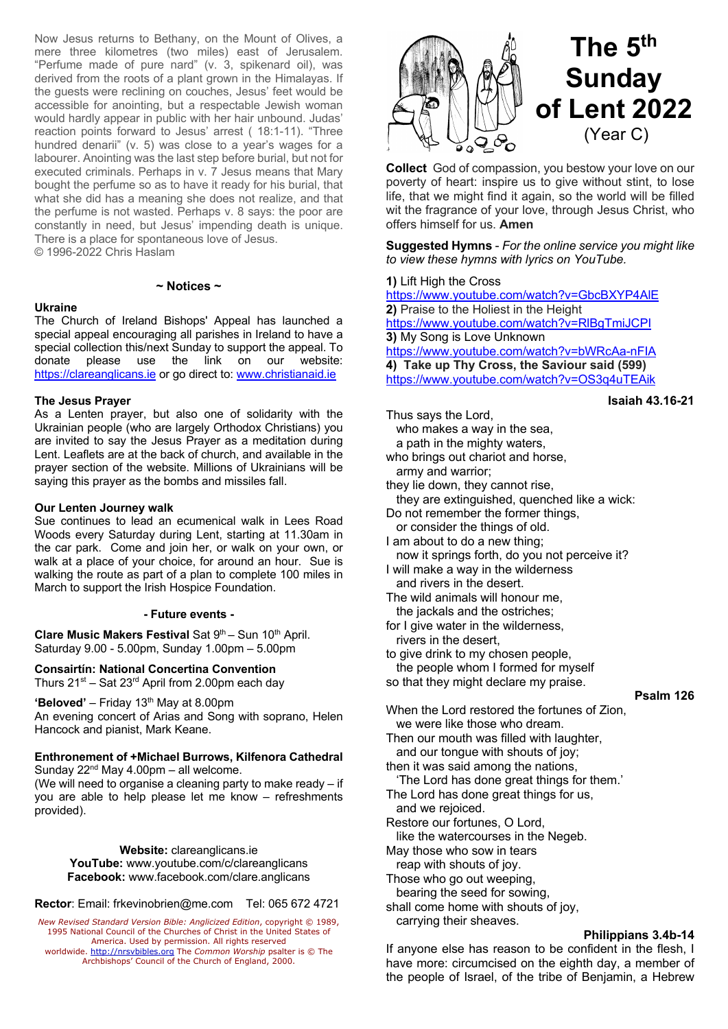Now Jesus returns to Bethany, on the Mount of Olives, a mere three kilometres (two miles) east of Jerusalem. "Perfume made of pure nard" (v. 3, spikenard oil), was derived from the roots of a plant grown in the Himalayas. If the guests were reclining on couches, Jesus' feet would be accessible for anointing, but a respectable Jewish woman would hardly appear in public with her hair unbound. Judas' reaction points forward to Jesus' arrest ( 18:1-11). "Three hundred denarii" (v. 5) was close to a year's wages for a labourer. Anointing was the last step before burial, but not for executed criminals. Perhaps in v. 7 Jesus means that Mary bought the perfume so as to have it ready for his burial, that what she did has a meaning she does not realize, and that the perfume is not wasted. Perhaps v. 8 says: the poor are constantly in need, but Jesus' impending death is unique. There is a place for spontaneous love of Jesus. © 1996-2022 Chris Haslam

#### **~ Notices ~**

## **Ukraine**

The Church of Ireland Bishops' Appeal has launched a special appeal encouraging all parishes in Ireland to have a special collection this/next Sunday to support the appeal. To donate please use the link on our website: https://clareanglicans.ie or go direct to: www.christianaid.ie

#### **The Jesus Prayer**

As a Lenten prayer, but also one of solidarity with the Ukrainian people (who are largely Orthodox Christians) you are invited to say the Jesus Prayer as a meditation during Lent. Leaflets are at the back of church, and available in the prayer section of the website. Millions of Ukrainians will be saying this prayer as the bombs and missiles fall.

#### **Our Lenten Journey walk**

Sue continues to lead an ecumenical walk in Lees Road Woods every Saturday during Lent, starting at 11.30am in the car park. Come and join her, or walk on your own, or walk at a place of your choice, for around an hour. Sue is walking the route as part of a plan to complete 100 miles in March to support the Irish Hospice Foundation.

## **- Future events -**

**Clare Music Makers Festival Sat 9<sup>th</sup> – Sun 10<sup>th</sup> April.** Saturday 9.00 - 5.00pm, Sunday 1.00pm – 5.00pm

**Consairtín: National Concertina Convention** Thurs  $21^{st}$  – Sat  $23^{rd}$  April from 2.00pm each day

**'Beloved'** – Friday 13<sup>th</sup> May at 8.00pm An evening concert of Arias and Song with soprano, Helen

Hancock and pianist, Mark Keane.

### **Enthronement of +Michael Burrows, Kilfenora Cathedral** Sunday  $22^{nd}$  May 4.00pm – all welcome.

(We will need to organise a cleaning party to make ready – if you are able to help please let me know – refreshments provided).

> **Website:** clareanglicans.ie **YouTube:** www.youtube.com/c/clareanglicans **Facebook:** www.facebook.com/clare.anglicans

**Rector**: Email: frkevinobrien@me.com Tel: 065 672 4721

*New Revised Standard Version Bible: Anglicized Edition*, copyright © 1989, 1995 National Council of the Churches of Christ in the United States of America. Used by permission. All rights reserved<br>worldwide. http://nrsvbibles.org The *Common Worship* psalter is © The<br>Archbishops' Council of the Church of England, 2000.



**Collect** God of compassion, you bestow your love on our poverty of heart: inspire us to give without stint, to lose life, that we might find it again, so the world will be filled wit the fragrance of your love, through Jesus Christ, who offers himself for us. **Amen**

**Suggested Hymns** - *For the online service you might like to view these hymns with lyrics on YouTube.*

## **1)** Lift High the Cross

https://www.youtube.com/watch?v=GbcBXYP4AlE **2)** Praise to the Holiest in the Height https://www.youtube.com/watch?v=RlBgTmiJCPI **3)** My Song is Love Unknown https://www.youtube.com/watch?v=bWRcAa-nFIA **4) Take up Thy Cross, the Saviour said (599)** https://www.youtube.com/watch?v=OS3q4uTEAik

# **Isaiah 43.16-21**

| Thus says the Lord,                                                 |           |
|---------------------------------------------------------------------|-----------|
| who makes a way in the sea,                                         |           |
| a path in the mighty waters,                                        |           |
| who brings out chariot and horse,                                   |           |
| army and warrior;                                                   |           |
| they lie down, they cannot rise,                                    |           |
| they are extinguished, quenched like a wick:                        |           |
| Do not remember the former things,                                  |           |
| or consider the things of old.                                      |           |
| I am about to do a new thing;                                       |           |
| now it springs forth, do you not perceive it?                       |           |
| I will make a way in the wilderness                                 |           |
| and rivers in the desert.                                           |           |
| The wild animals will honour me,                                    |           |
| the jackals and the ostriches;                                      |           |
| for I give water in the wilderness,                                 |           |
| rivers in the desert,                                               |           |
| to give drink to my chosen people,                                  |           |
| the people whom I formed for myself                                 |           |
| so that they might declare my praise.                               |           |
|                                                                     | Psalm 126 |
| When the Lord restored the fortunes of Zion,                        |           |
| we were like those who dream.                                       |           |
| Then our mouth was filled with laughter,                            |           |
| and our tongue with shouts of joy;                                  |           |
| then it was said among the nations,                                 |           |
| 'The Lord has done great things for them.'                          |           |
| The Lord has done great things for us,                              |           |
| and we rejoiced.                                                    |           |
| Restore our fortunes, O Lord,                                       |           |
| like the watercourses in the Negeb.                                 |           |
| May those who sow in tears                                          |           |
| reap with shouts of joy.                                            |           |
| Those who go out weeping,                                           |           |
| bearing the seed for sowing,<br>shall come home with shouts of joy, |           |
|                                                                     |           |

#### **Philippians 3.4b-14**

If anyone else has reason to be confident in the flesh, I have more: circumcised on the eighth day, a member of the people of Israel, of the tribe of Benjamin, a Hebrew

carrying their sheaves.